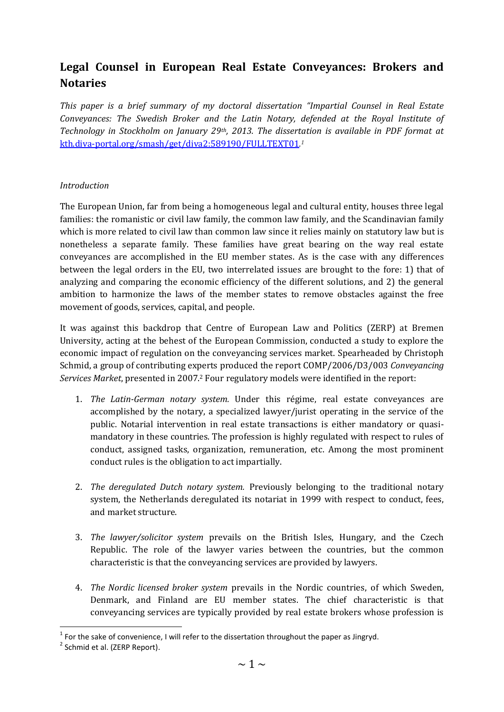# **Legal Counsel in European Real Estate Conveyances: Brokers and Notaries**

*This paper is a brief summary of my doctoral dissertation "Impartial Counsel in Real Estate Conveyances: The Swedish Broker and the Latin Notary, defended at the Royal Institute of Technology in Stockholm on January 29th, 2013. The dissertation is available in PDF format at*  [kth.diva-portal.org/smash/get/diva2:589190/FULLTEXT01](http://kth.diva-portal.org/smash/get/diva2:589190/FULLTEXT01)*. 1*

## *Introduction*

The European Union, far from being a homogeneous legal and cultural entity, houses three legal families: the romanistic or civil law family, the common law family, and the Scandinavian family which is more related to civil law than common law since it relies mainly on statutory law but is nonetheless a separate family. These families have great bearing on the way real estate conveyances are accomplished in the EU member states. As is the case with any differences between the legal orders in the EU, two interrelated issues are brought to the fore: 1) that of analyzing and comparing the economic efficiency of the different solutions, and 2) the general ambition to harmonize the laws of the member states to remove obstacles against the free movement of goods, services, capital, and people.

It was against this backdrop that Centre of European Law and Politics (ZERP) at Bremen University, acting at the behest of the European Commission, conducted a study to explore the economic impact of regulation on the conveyancing services market. Spearheaded by Christoph Schmid, a group of contributing experts produced the report COMP/2006/D3/003 *Conveyancing Services Market*, presented in 2007.<sup>2</sup> Four regulatory models were identified in the report:

- 1. *The Latin-German notary system.* Under this régime, real estate conveyances are accomplished by the notary, a specialized lawyer/jurist operating in the service of the public. Notarial intervention in real estate transactions is either mandatory or quasimandatory in these countries. The profession is highly regulated with respect to rules of conduct, assigned tasks, organization, remuneration, etc. Among the most prominent conduct rules is the obligation to act impartially.
- 2. *The deregulated Dutch notary system.* Previously belonging to the traditional notary system, the Netherlands deregulated its notariat in 1999 with respect to conduct, fees, and market structure.
- 3. *The lawyer/solicitor system* prevails on the British Isles, Hungary, and the Czech Republic. The role of the lawyer varies between the countries, but the common characteristic is that the conveyancing services are provided by lawyers.
- 4. *The Nordic licensed broker system* prevails in the Nordic countries, of which Sweden, Denmark, and Finland are EU member states. The chief characteristic is that conveyancing services are typically provided by real estate brokers whose profession is

1

 $<sup>1</sup>$  For the sake of convenience, I will refer to the dissertation throughout the paper as Jingryd.</sup>

<sup>&</sup>lt;sup>2</sup> Schmid et al. (ZERP Report).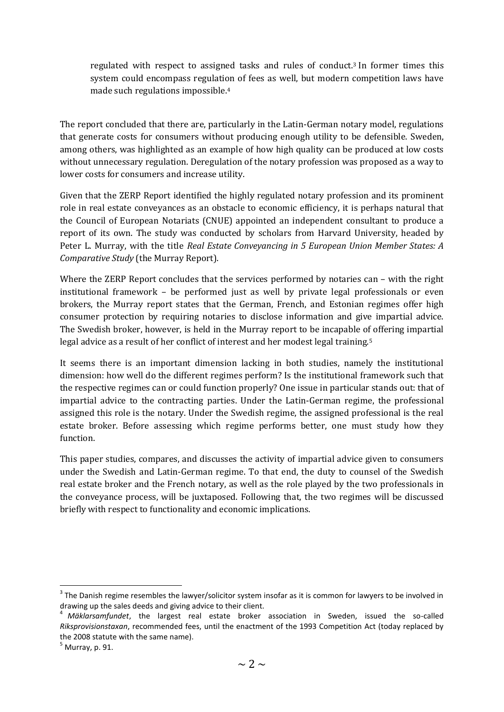regulated with respect to assigned tasks and rules of conduct.<sup>3</sup> In former times this system could encompass regulation of fees as well, but modern competition laws have made such regulations impossible.<sup>4</sup>

The report concluded that there are, particularly in the Latin-German notary model, regulations that generate costs for consumers without producing enough utility to be defensible. Sweden, among others, was highlighted as an example of how high quality can be produced at low costs without unnecessary regulation. Deregulation of the notary profession was proposed as a way to lower costs for consumers and increase utility.

Given that the ZERP Report identified the highly regulated notary profession and its prominent role in real estate conveyances as an obstacle to economic efficiency, it is perhaps natural that the Council of European Notariats (CNUE) appointed an independent consultant to produce a report of its own. The study was conducted by scholars from Harvard University, headed by Peter L. Murray, with the title *Real Estate Conveyancing in 5 European Union Member States: A Comparative Study* (the Murray Report).

Where the ZERP Report concludes that the services performed by notaries can – with the right institutional framework – be performed just as well by private legal professionals or even brokers, the Murray report states that the German, French, and Estonian regimes offer high consumer protection by requiring notaries to disclose information and give impartial advice. The Swedish broker, however, is held in the Murray report to be incapable of offering impartial legal advice as a result of her conflict of interest and her modest legal training.<sup>5</sup>

It seems there is an important dimension lacking in both studies, namely the institutional dimension: how well do the different regimes perform? Is the institutional framework such that the respective regimes can or could function properly? One issue in particular stands out: that of impartial advice to the contracting parties. Under the Latin-German regime, the professional assigned this role is the notary. Under the Swedish regime, the assigned professional is the real estate broker. Before assessing which regime performs better, one must study how they function.

This paper studies, compares, and discusses the activity of impartial advice given to consumers under the Swedish and Latin-German regime. To that end, the duty to counsel of the Swedish real estate broker and the French notary, as well as the role played by the two professionals in the conveyance process, will be juxtaposed. Following that, the two regimes will be discussed briefly with respect to functionality and economic implications.

 $3$  The Danish regime resembles the lawyer/solicitor system insofar as it is common for lawyers to be involved in drawing up the sales deeds and giving advice to their client.

<sup>4</sup> *Mäklarsamfundet*, the largest real estate broker association in Sweden, issued the so-called *Riksprovisionstaxan*, recommended fees, until the enactment of the 1993 Competition Act (today replaced by the 2008 statute with the same name).

 $<sup>5</sup>$  Murray, p. 91.</sup>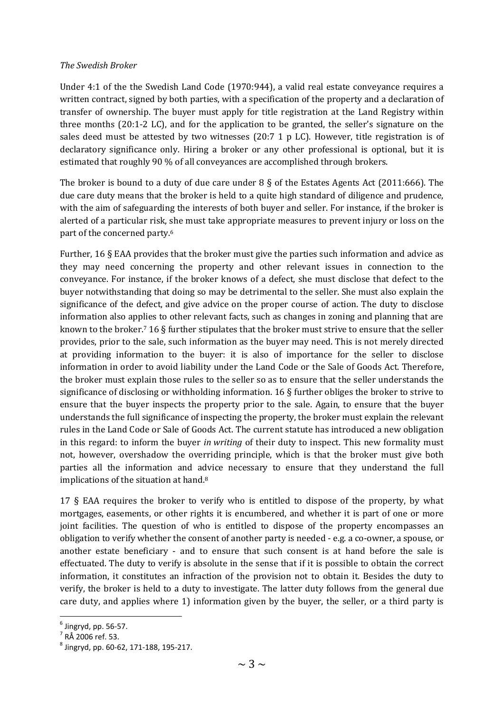### *The Swedish Broker*

Under 4:1 of the the Swedish Land Code (1970:944), a valid real estate conveyance requires a written contract, signed by both parties, with a specification of the property and a declaration of transfer of ownership. The buyer must apply for title registration at the Land Registry within three months (20:1-2 LC), and for the application to be granted, the seller's signature on the sales deed must be attested by two witnesses (20:7 1 p LC). However, title registration is of declaratory significance only. Hiring a broker or any other professional is optional, but it is estimated that roughly 90 % of all conveyances are accomplished through brokers.

The broker is bound to a duty of due care under 8 § of the Estates Agents Act (2011:666). The due care duty means that the broker is held to a quite high standard of diligence and prudence, with the aim of safeguarding the interests of both buyer and seller. For instance, if the broker is alerted of a particular risk, she must take appropriate measures to prevent injury or loss on the part of the concerned party. 6

Further, 16 § EAA provides that the broker must give the parties such information and advice as they may need concerning the property and other relevant issues in connection to the conveyance. For instance, if the broker knows of a defect, she must disclose that defect to the buyer notwithstanding that doing so may be detrimental to the seller. She must also explain the significance of the defect, and give advice on the proper course of action. The duty to disclose information also applies to other relevant facts, such as changes in zoning and planning that are known to the broker.<sup>7</sup> 16 § further stipulates that the broker must strive to ensure that the seller provides, prior to the sale, such information as the buyer may need. This is not merely directed at providing information to the buyer: it is also of importance for the seller to disclose information in order to avoid liability under the Land Code or the Sale of Goods Act. Therefore, the broker must explain those rules to the seller so as to ensure that the seller understands the significance of disclosing or withholding information. 16 § further obliges the broker to strive to ensure that the buyer inspects the property prior to the sale. Again, to ensure that the buyer understands the full significance of inspecting the property, the broker must explain the relevant rules in the Land Code or Sale of Goods Act. The current statute has introduced a new obligation in this regard: to inform the buyer *in writing* of their duty to inspect. This new formality must not, however, overshadow the overriding principle, which is that the broker must give both parties all the information and advice necessary to ensure that they understand the full implications of the situation at hand. 8

17 § EAA requires the broker to verify who is entitled to dispose of the property, by what mortgages, easements, or other rights it is encumbered, and whether it is part of one or more joint facilities. The question of who is entitled to dispose of the property encompasses an obligation to verify whether the consent of another party is needed - e.g. a co-owner, a spouse, or another estate beneficiary - and to ensure that such consent is at hand before the sale is effectuated. The duty to verify is absolute in the sense that if it is possible to obtain the correct information, it constitutes an infraction of the provision not to obtain it. Besides the duty to verify, the broker is held to a duty to investigate. The latter duty follows from the general due care duty, and applies where 1) information given by the buyer, the seller, or a third party is

 $^6$  Jingryd, pp. 56-57.

 $^7$  RÅ 2006 ref. 53.

<sup>8</sup> Jingryd, pp. 60-62, 171-188, 195-217.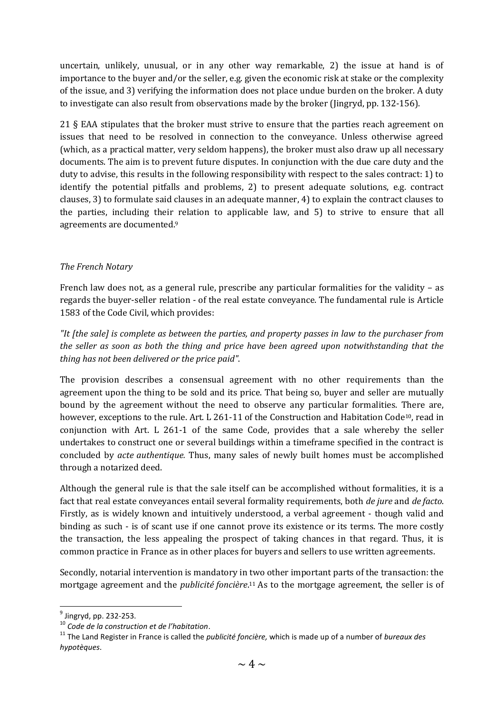uncertain, unlikely, unusual, or in any other way remarkable, 2) the issue at hand is of importance to the buyer and/or the seller, e.g. given the economic risk at stake or the complexity of the issue, and 3) verifying the information does not place undue burden on the broker. A duty to investigate can also result from observations made by the broker (Jingryd, pp. 132-156).

21 § EAA stipulates that the broker must strive to ensure that the parties reach agreement on issues that need to be resolved in connection to the conveyance. Unless otherwise agreed (which, as a practical matter, very seldom happens), the broker must also draw up all necessary documents. The aim is to prevent future disputes. In conjunction with the due care duty and the duty to advise, this results in the following responsibility with respect to the sales contract: 1) to identify the potential pitfalls and problems, 2) to present adequate solutions, e.g. contract clauses, 3) to formulate said clauses in an adequate manner, 4) to explain the contract clauses to the parties, including their relation to applicable law, and 5) to strive to ensure that all agreements are documented. 9

## *The French Notary*

French law does not, as a general rule, prescribe any particular formalities for the validity – as regards the buyer-seller relation - of the real estate conveyance. The fundamental rule is Article 1583 of the Code Civil, which provides:

*"It [the sale] is complete as between the parties, and property passes in law to the purchaser from the seller as soon as both the thing and price have been agreed upon notwithstanding that the thing has not been delivered or the price paid"*.

The provision describes a consensual agreement with no other requirements than the agreement upon the thing to be sold and its price. That being so, buyer and seller are mutually bound by the agreement without the need to observe any particular formalities. There are, however, exceptions to the rule. Art. L 261-11 of the Construction and Habitation Code<sup>10</sup>, read in conjunction with Art. L 261-1 of the same Code, provides that a sale whereby the seller undertakes to construct one or several buildings within a timeframe specified in the contract is concluded by *acte authentique.* Thus, many sales of newly built homes must be accomplished through a notarized deed.

Although the general rule is that the sale itself can be accomplished without formalities, it is a fact that real estate conveyances entail several formality requirements, both *de jure* and *de facto*. Firstly, as is widely known and intuitively understood, a verbal agreement - though valid and binding as such - is of scant use if one cannot prove its existence or its terms. The more costly the transaction, the less appealing the prospect of taking chances in that regard. Thus, it is common practice in France as in other places for buyers and sellers to use written agreements.

Secondly, notarial intervention is mandatory in two other important parts of the transaction: the mortgage agreement and the *publicité foncière*. <sup>11</sup> As to the mortgage agreement, the seller is of

1

 $^9$  Jingryd, pp. 232-253.

<sup>10</sup> *Code de la construction et de l'habitation*.

<sup>11</sup> The Land Register in France is called the *publicité foncière,* which is made up of a number of *bureaux des hypotèques*.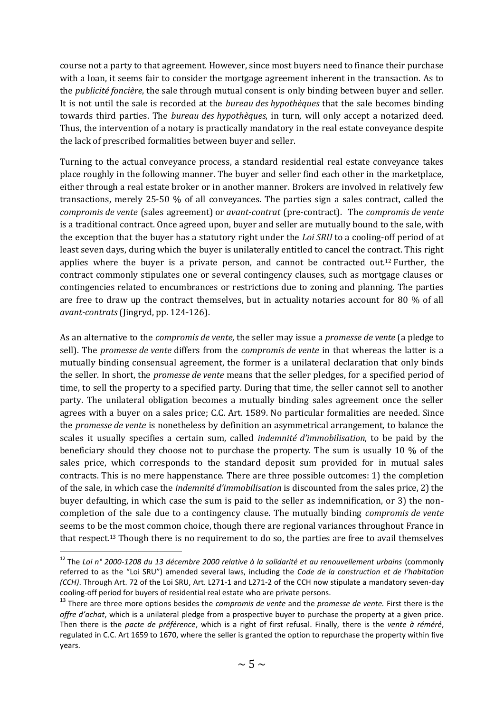course not a party to that agreement. However, since most buyers need to finance their purchase with a loan, it seems fair to consider the mortgage agreement inherent in the transaction. As to the *publicité foncière*, the sale through mutual consent is only binding between buyer and seller. It is not until the sale is recorded at the *bureau des hypothèques* that the sale becomes binding towards third parties. The *bureau des hypothèques*, in turn, will only accept a notarized deed. Thus, the intervention of a notary is practically mandatory in the real estate conveyance despite the lack of prescribed formalities between buyer and seller.

Turning to the actual conveyance process, a standard residential real estate conveyance takes place roughly in the following manner. The buyer and seller find each other in the marketplace, either through a real estate broker or in another manner. Brokers are involved in relatively few transactions, merely 25-50 % of all conveyances. The parties sign a sales contract, called the *compromis de vente* (sales agreement) or *avant-contrat* (pre-contract). The *compromis de vente* is a traditional contract. Once agreed upon, buyer and seller are mutually bound to the sale, with the exception that the buyer has a statutory right under the *Loi SRU* to a cooling-off period of at least seven days, during which the buyer is unilaterally entitled to cancel the contract. This right applies where the buyer is a private person, and cannot be contracted out.<sup>12</sup> Further, the contract commonly stipulates one or several contingency clauses, such as mortgage clauses or contingencies related to encumbrances or restrictions due to zoning and planning. The parties are free to draw up the contract themselves, but in actuality notaries account for 80 % of all *avant-contrats* (Jingryd, pp. 124-126).

As an alternative to the *compromis de vente*, the seller may issue a *promesse de vente* (a pledge to sell). The *promesse de vente* differs from the *compromis de vente* in that whereas the latter is a mutually binding consensual agreement, the former is a unilateral declaration that only binds the seller. In short, the *promesse de vente* means that the seller pledges, for a specified period of time, to sell the property to a specified party. During that time, the seller cannot sell to another party. The unilateral obligation becomes a mutually binding sales agreement once the seller agrees with a buyer on a sales price; C.C. Art. 1589. No particular formalities are needed. Since the *promesse de vente* is nonetheless by definition an asymmetrical arrangement, to balance the scales it usually specifies a certain sum, called *indemnité d'immobilisation*, to be paid by the beneficiary should they choose not to purchase the property. The sum is usually 10 % of the sales price, which corresponds to the standard deposit sum provided for in mutual sales contracts. This is no mere happenstance. There are three possible outcomes: 1) the completion of the sale, in which case the *indemnité d'immobilisation* is discounted from the sales price, 2) the buyer defaulting, in which case the sum is paid to the seller as indemnification, or 3) the noncompletion of the sale due to a contingency clause. The mutually binding *compromis de vente* seems to be the most common choice, though there are regional variances throughout France in that respect.<sup>13</sup> Though there is no requirement to do so, the parties are free to avail themselves

1

<sup>12</sup> The *Loi n° 2000-1208 du 13 décembre 2000 relative à la solidarité et au renouvellement urbains* (commonly referred to as the "Loi SRU") amended several laws, including the *Code de la construction et de l'habitation (CCH)*. Through Art. 72 of the Loi SRU, Art. L271-1 and L271-2 of the CCH now stipulate a mandatory seven-day cooling-off period for buyers of residential real estate who are private persons.

<sup>13</sup> There are three more options besides the *compromis de vente* and the *promesse de vente.* First there is the *offre d'achat*, which is a unilateral pledge from a prospective buyer to purchase the property at a given price. Then there is the *pacte de préférence*, which is a right of first refusal. Finally, there is the *vente à réméré*, regulated in C.C. Art 1659 to 1670, where the seller is granted the option to repurchase the property within five years.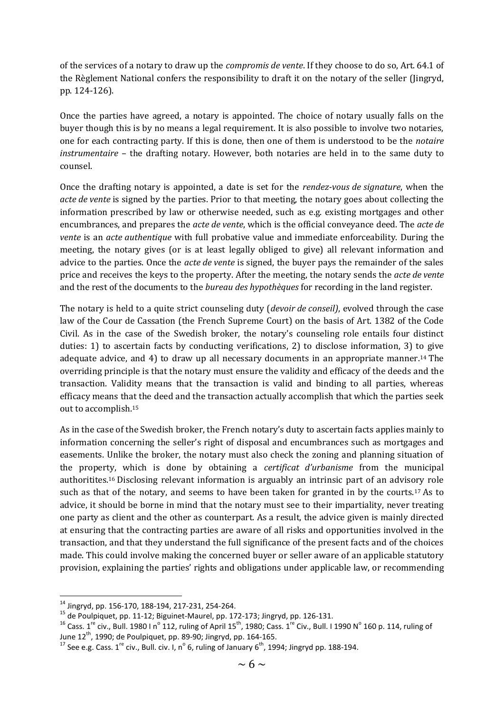of the services of a notary to draw up the *compromis de vente*. If they choose to do so, Art. 64.1 of the Règlement National confers the responsibility to draft it on the notary of the seller (Jingryd, pp. 124-126).

Once the parties have agreed, a notary is appointed. The choice of notary usually falls on the buyer though this is by no means a legal requirement. It is also possible to involve two notaries, one for each contracting party. If this is done, then one of them is understood to be the *notaire instrumentaire* – the drafting notary. However, both notaries are held in to the same duty to counsel.

Once the drafting notary is appointed, a date is set for the *rendez-vous de signature*, when the *acte de vente* is signed by the parties. Prior to that meeting, the notary goes about collecting the information prescribed by law or otherwise needed, such as e.g. existing mortgages and other encumbrances, and prepares the *acte de vente*, which is the official conveyance deed. The *acte de vente* is an *acte authentique* with full probative value and immediate enforceability. During the meeting, the notary gives (or is at least legally obliged to give) all relevant information and advice to the parties. Once the *acte de vente* is signed, the buyer pays the remainder of the sales price and receives the keys to the property. After the meeting, the notary sends the *acte de vente* and the rest of the documents to the *bureau des hypothèques* for recording in the land register.

The notary is held to a quite strict counseling duty (*devoir de conseil)*, evolved through the case law of the Cour de Cassation (the French Supreme Court) on the basis of Art. 1382 of the Code Civil. As in the case of the Swedish broker, the notary's counseling role entails four distinct duties: 1) to ascertain facts by conducting verifications, 2) to disclose information, 3) to give adequate advice, and 4) to draw up all necessary documents in an appropriate manner.<sup>14</sup> The overriding principle is that the notary must ensure the validity and efficacy of the deeds and the transaction. Validity means that the transaction is valid and binding to all parties, whereas efficacy means that the deed and the transaction actually accomplish that which the parties seek out to accomplish.<sup>15</sup>

As in the case of the Swedish broker, the French notary's duty to ascertain facts applies mainly to information concerning the seller's right of disposal and encumbrances such as mortgages and easements. Unlike the broker, the notary must also check the zoning and planning situation of the property, which is done by obtaining a *certificat d'urbanisme* from the municipal authoritites.<sup>16</sup> Disclosing relevant information is arguably an intrinsic part of an advisory role such as that of the notary, and seems to have been taken for granted in by the courts.<sup>17</sup> As to advice, it should be borne in mind that the notary must see to their impartiality, never treating one party as client and the other as counterpart. As a result, the advice given is mainly directed at ensuring that the contracting parties are aware of all risks and opportunities involved in the transaction, and that they understand the full significance of the present facts and of the choices made. This could involve making the concerned buyer or seller aware of an applicable statutory provision, explaining the parties' rights and obligations under applicable law, or recommending

 $^{14}$  Jingryd, pp. 156-170, 188-194, 217-231, 254-264.

<sup>&</sup>lt;sup>15</sup> de Poulpiquet, pp. 11-12; Biguinet-Maurel, pp. 172-173; Jingryd, pp. 126-131.

<sup>&</sup>lt;sup>16</sup> Cass. 1<sup>re</sup> civ., Bull. 1980 I n<sup>o</sup> 112, ruling of April 15<sup>th</sup>, 1980; Cass. 1<sup>re</sup> Civ., Bull. I 1990 N<sup>o</sup> 160 p. 114, ruling of June 12th, 1990; de Poulpiquet, pp. 89-90; Jingryd, pp. 164-165.

<sup>&</sup>lt;sup>17</sup> See e.g. Cass. 1<sup>re</sup> civ., Bull. civ. I, n<sup>o</sup> 6, ruling of January 6<sup>th</sup>, 1994; Jingryd pp. 188-194.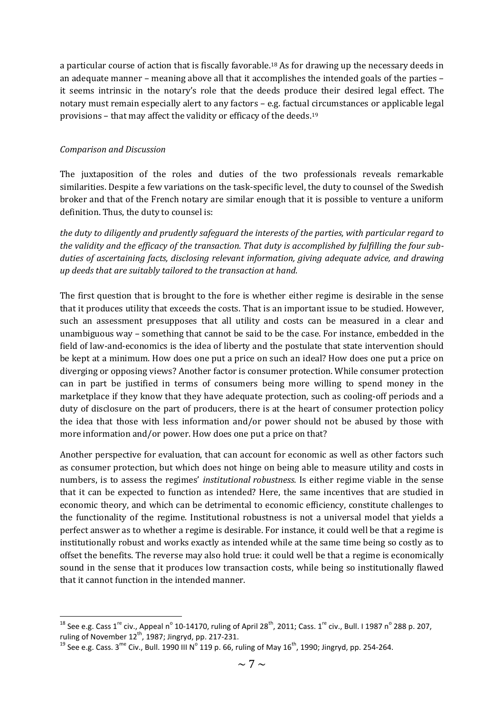a particular course of action that is fiscally favorable.<sup>18</sup> As for drawing up the necessary deeds in an adequate manner – meaning above all that it accomplishes the intended goals of the parties – it seems intrinsic in the notary's role that the deeds produce their desired legal effect. The notary must remain especially alert to any factors – e.g. factual circumstances or applicable legal provisions – that may affect the validity or efficacy of the deeds.<sup>19</sup>

## *Comparison and Discussion*

**.** 

The juxtaposition of the roles and duties of the two professionals reveals remarkable similarities. Despite a few variations on the task-specific level, the duty to counsel of the Swedish broker and that of the French notary are similar enough that it is possible to venture a uniform definition. Thus, the duty to counsel is:

*the duty to diligently and prudently safeguard the interests of the parties, with particular regard to the validity and the efficacy of the transaction. That duty is accomplished by fulfilling the four subduties of ascertaining facts, disclosing relevant information, giving adequate advice, and drawing up deeds that are suitably tailored to the transaction at hand.*

The first question that is brought to the fore is whether either regime is desirable in the sense that it produces utility that exceeds the costs. That is an important issue to be studied. However, such an assessment presupposes that all utility and costs can be measured in a clear and unambiguous way – something that cannot be said to be the case. For instance, embedded in the field of law-and-economics is the idea of liberty and the postulate that state intervention should be kept at a minimum. How does one put a price on such an ideal? How does one put a price on diverging or opposing views? Another factor is consumer protection. While consumer protection can in part be justified in terms of consumers being more willing to spend money in the marketplace if they know that they have adequate protection, such as cooling-off periods and a duty of disclosure on the part of producers, there is at the heart of consumer protection policy the idea that those with less information and/or power should not be abused by those with more information and/or power. How does one put a price on that?

Another perspective for evaluation, that can account for economic as well as other factors such as consumer protection, but which does not hinge on being able to measure utility and costs in numbers, is to assess the regimes' *institutional robustness*. Is either regime viable in the sense that it can be expected to function as intended? Here, the same incentives that are studied in economic theory, and which can be detrimental to economic efficiency, constitute challenges to the functionality of the regime. Institutional robustness is not a universal model that yields a perfect answer as to whether a regime is desirable. For instance, it could well be that a regime is institutionally robust and works exactly as intended while at the same time being so costly as to offset the benefits. The reverse may also hold true: it could well be that a regime is economically sound in the sense that it produces low transaction costs, while being so institutionally flawed that it cannot function in the intended manner.

<sup>&</sup>lt;sup>18</sup> See e.g. Cass 1<sup>re</sup> civ., Appeal n<sup>o</sup> 10-14170, ruling of April 28<sup>th</sup>, 2011; Cass. 1<sup>re</sup> civ., Bull. I 1987 n<sup>o</sup> 288 p. 207, ruling of November  $12^{th}$ , 1987; Jingryd, pp. 217-231.

<sup>&</sup>lt;sup>19</sup> See e.g. Cass. 3<sup>me</sup> Civ., Bull. 1990 III N<sup>o</sup> 119 p. 66, ruling of May 16<sup>th</sup>, 1990; Jingryd, pp. 254-264.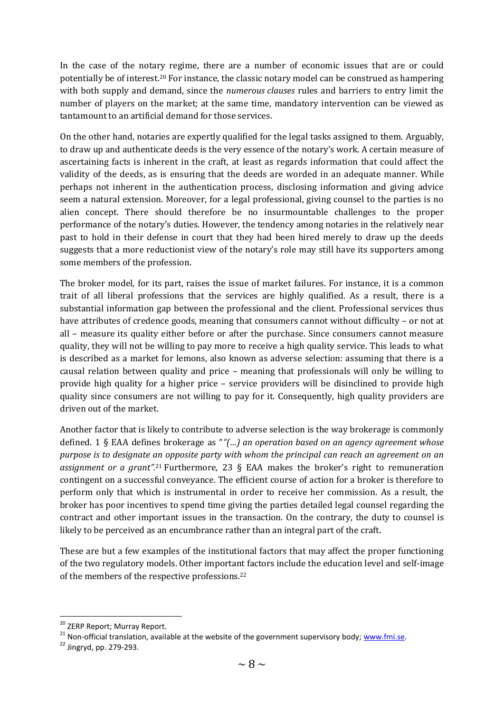In the case of the notary regime, there are a number of economic issues that are or could potentially be of interest. <sup>20</sup> For instance, the classic notary model can be construed as hampering with both supply and demand, since the *numerous clauses* rules and barriers to entry limit the number of players on the market; at the same time, mandatory intervention can be viewed as tantamount to an artificial demand for those services.

On the other hand, notaries are expertly qualified for the legal tasks assigned to them. Arguably, to draw up and authenticate deeds is the very essence of the notary's work. A certain measure of ascertaining facts is inherent in the craft, at least as regards information that could affect the validity of the deeds, as is ensuring that the deeds are worded in an adequate manner. While perhaps not inherent in the authentication process, disclosing information and giving advice seem a natural extension. Moreover, for a legal professional, giving counsel to the parties is no alien concept. There should therefore be no insurmountable challenges to the proper performance of the notary's duties. However, the tendency among notaries in the relatively near past to hold in their defense in court that they had been hired merely to draw up the deeds suggests that a more reductionist view of the notary's role may still have its supporters among some members of the profession.

The broker model, for its part, raises the issue of market failures. For instance, it is a common trait of all liberal professions that the services are highly qualified. As a result, there is a substantial information gap between the professional and the client. Professional services thus have attributes of credence goods, meaning that consumers cannot without difficulty – or not at all – measure its quality either before or after the purchase. Since consumers cannot measure quality, they will not be willing to pay more to receive a high quality service. This leads to what is described as a market for lemons, also known as adverse selection: assuming that there is a causal relation between quality and price – meaning that professionals will only be willing to provide high quality for a higher price – service providers will be disinclined to provide high quality since consumers are not willing to pay for it. Consequently, high quality providers are driven out of the market.

Another factor that is likely to contribute to adverse selection is the way brokerage is commonly defined. 1 § EAA defines brokerage as "*"(…) an operation based on an agency agreement whose purpose is to designate an opposite party with whom the principal can reach an agreement on an assignment or a grant".*<sup>21</sup> Furthermore, 23 § EAA makes the broker's right to remuneration contingent on a successful conveyance. The efficient course of action for a broker is therefore to perform only that which is instrumental in order to receive her commission. As a result, the broker has poor incentives to spend time giving the parties detailed legal counsel regarding the contract and other important issues in the transaction. On the contrary, the duty to counsel is likely to be perceived as an encumbrance rather than an integral part of the craft.

These are but a few examples of the institutional factors that may affect the proper functioning of the two regulatory models. Other important factors include the education level and self-image of the members of the respective professions.<sup>22</sup>

<sup>&</sup>lt;sup>20</sup> ZERP Report; Murray Report.

<sup>&</sup>lt;sup>21</sup> Non-official translation, available at the website of the government supervisory body; www.fmi.se.

<sup>22</sup> Jingryd, pp. 279-293.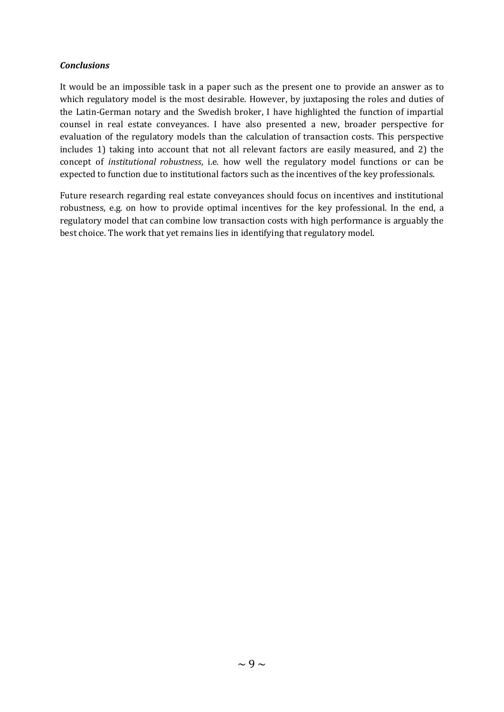### *Conclusions*

It would be an impossible task in a paper such as the present one to provide an answer as to which regulatory model is the most desirable. However, by juxtaposing the roles and duties of the Latin-German notary and the Swedish broker, I have highlighted the function of impartial counsel in real estate conveyances. I have also presented a new, broader perspective for evaluation of the regulatory models than the calculation of transaction costs. This perspective includes 1) taking into account that not all relevant factors are easily measured, and 2) the concept of *institutional robustness*, i.e. how well the regulatory model functions or can be expected to function due to institutional factors such as the incentives of the key professionals.

Future research regarding real estate conveyances should focus on incentives and institutional robustness, e.g. on how to provide optimal incentives for the key professional. In the end, a regulatory model that can combine low transaction costs with high performance is arguably the best choice. The work that yet remains lies in identifying that regulatory model.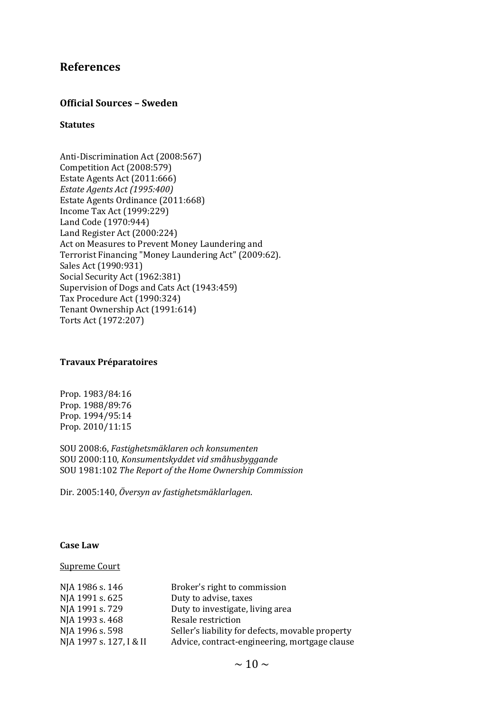## **References**

### **Official Sources – Sweden**

### **Statutes**

Anti-Discrimination Act (2008:567) Competition Act (2008:579) Estate Agents Act (2011:666) *Estate Agents Act (1995:400)* Estate Agents Ordinance (2011:668) Income Tax Act (1999:229) Land Code (1970:944) Land Register Act (2000:224) Act on Measures to Prevent Money Laundering and Terrorist Financing "Money Laundering Act" (2009:62). Sales Act (1990:931) Social Security Act (1962:381) Supervision of Dogs and Cats Act (1943:459) Tax Procedure Act (1990:324) Tenant Ownership Act (1991:614) Torts Act (1972:207)

#### **Travaux Préparatoires**

Prop. 1983/84:16 Prop. 1988/89:76 Prop. 1994/95:14 Prop. 2010/11:15

SOU 2008:6, *Fastighetsmäklaren och konsumenten* SOU 2000:110, *Konsumentskyddet vid småhusbyggande* SOU 1981:102 *The Report of the Home Ownership Commission*

Dir. 2005:140, *Översyn av fastighetsmäklarlagen*.

#### **Case Law**

### Supreme Court

| NJA 1986 s. 146         | Broker's right to commission                     |
|-------------------------|--------------------------------------------------|
| NJA 1991 s. 625         | Duty to advise, taxes                            |
| NJA 1991 s. 729         | Duty to investigate, living area                 |
| NJA 1993 s. 468         | Resale restriction                               |
| NJA 1996 s. 598         | Seller's liability for defects, movable property |
| NJA 1997 s. 127, I & II | Advice, contract-engineering, mortgage clause    |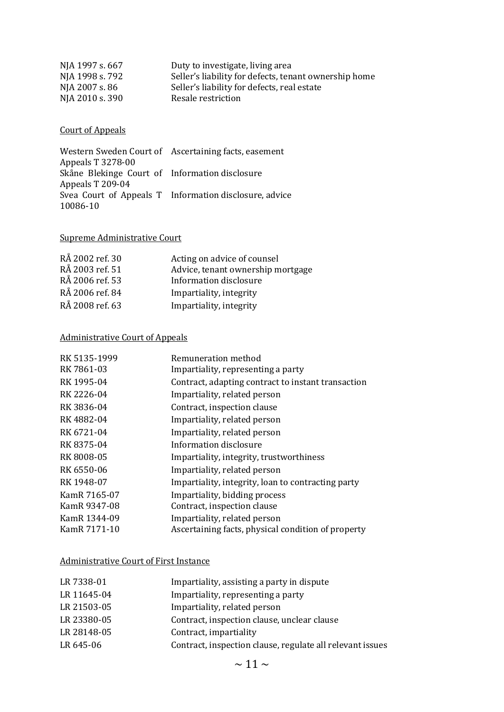| Duty to investigate, living area                      |
|-------------------------------------------------------|
| Seller's liability for defects, tenant ownership home |
| Seller's liability for defects, real estate           |
| Resale restriction                                    |
|                                                       |

### Court of Appeals

Western Sweden Court of Ascertaining facts, easement Appeals T 3278-00 Skåne Blekinge Court of Information disclosure Appeals T 209-04 Svea Court of Appeals T Information disclosure, advice 10086-10

### Supreme Administrative Court

| RÅ 2002 ref. 30 | Acting on advice of counsel       |
|-----------------|-----------------------------------|
| RÅ 2003 ref. 51 | Advice, tenant ownership mortgage |
| RÅ 2006 ref. 53 | Information disclosure            |
| RÅ 2006 ref. 84 | Impartiality, integrity           |
| RÅ 2008 ref. 63 | Impartiality, integrity           |

## Administrative Court of Appeals

| RK 5135-1999 | Remuneration method                                |
|--------------|----------------------------------------------------|
| RK 7861-03   | Impartiality, representing a party                 |
| RK 1995-04   | Contract, adapting contract to instant transaction |
| RK 2226-04   | Impartiality, related person                       |
| RK 3836-04   | Contract, inspection clause                        |
| RK4882-04    | Impartiality, related person                       |
| RK 6721-04   | Impartiality, related person                       |
| RK 8375-04   | Information disclosure                             |
| RK 8008-05   | Impartiality, integrity, trustworthiness           |
| RK 6550-06   | Impartiality, related person                       |
| RK 1948-07   | Impartiality, integrity, loan to contracting party |
| KamR 7165-07 | Impartiality, bidding process                      |
| KamR 9347-08 | Contract, inspection clause                        |
| KamR 1344-09 | Impartiality, related person                       |
| KamR 7171-10 | Ascertaining facts, physical condition of property |

### Administrative Court of First Instance

| LR 7338-01<br>Impartiality, assisting a party in dispute               |  |
|------------------------------------------------------------------------|--|
| LR 11645-04<br>Impartiality, representing a party                      |  |
| LR 21503-05<br>Impartiality, related person                            |  |
| LR 23380-05<br>Contract, inspection clause, unclear clause             |  |
| LR 28148-05<br>Contract, impartiality                                  |  |
| LR 645-06<br>Contract, inspection clause, regulate all relevant issues |  |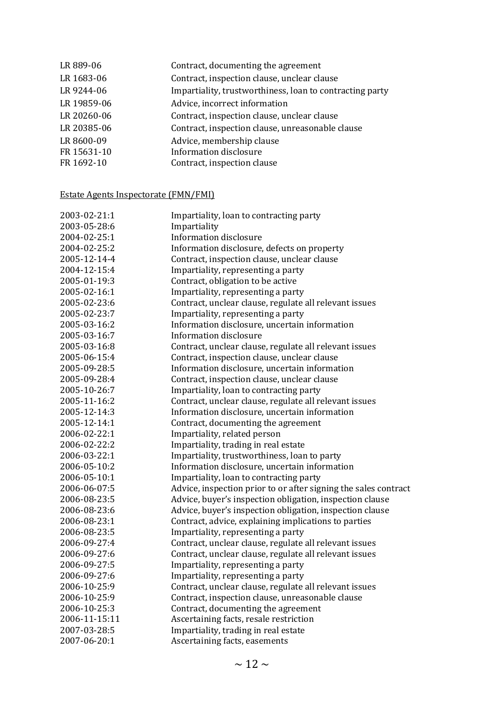| LR 889-06   | Contract, documenting the agreement                      |
|-------------|----------------------------------------------------------|
| LR 1683-06  | Contract, inspection clause, unclear clause              |
| LR 9244-06  | Impartiality, trustworthiness, loan to contracting party |
| LR 19859-06 | Advice, incorrect information                            |
| LR 20260-06 | Contract, inspection clause, unclear clause              |
| LR 20385-06 | Contract, inspection clause, unreasonable clause         |
| LR 8600-09  | Advice, membership clause                                |
| FR 15631-10 | <b>Information disclosure</b>                            |
| FR 1692-10  | Contract, inspection clause                              |
|             |                                                          |

## Estate Agents Inspectorate (FMN/FMI)

| 2003-02-21:1  | Impartiality, loan to contracting party                         |
|---------------|-----------------------------------------------------------------|
| 2003-05-28:6  | Impartiality                                                    |
| 2004-02-25:1  | <b>Information disclosure</b>                                   |
| 2004-02-25:2  | Information disclosure, defects on property                     |
| 2005-12-14-4  | Contract, inspection clause, unclear clause                     |
| 2004-12-15:4  | Impartiality, representing a party                              |
| 2005-01-19:3  | Contract, obligation to be active                               |
| 2005-02-16:1  | Impartiality, representing a party                              |
| 2005-02-23:6  | Contract, unclear clause, regulate all relevant issues          |
| 2005-02-23:7  | Impartiality, representing a party                              |
| 2005-03-16:2  | Information disclosure, uncertain information                   |
| 2005-03-16:7  | <b>Information disclosure</b>                                   |
| 2005-03-16:8  | Contract, unclear clause, regulate all relevant issues          |
| 2005-06-15:4  | Contract, inspection clause, unclear clause                     |
| 2005-09-28:5  | Information disclosure, uncertain information                   |
| 2005-09-28:4  | Contract, inspection clause, unclear clause                     |
| 2005-10-26:7  | Impartiality, loan to contracting party                         |
| 2005-11-16:2  | Contract, unclear clause, regulate all relevant issues          |
| 2005-12-14:3  | Information disclosure, uncertain information                   |
| 2005-12-14:1  | Contract, documenting the agreement                             |
| 2006-02-22:1  | Impartiality, related person                                    |
| 2006-02-22:2  | Impartiality, trading in real estate                            |
| 2006-03-22:1  | Impartiality, trustworthiness, loan to party                    |
| 2006-05-10:2  | Information disclosure, uncertain information                   |
| 2006-05-10:1  | Impartiality, loan to contracting party                         |
| 2006-06-07:5  | Advice, inspection prior to or after signing the sales contract |
| 2006-08-23:5  | Advice, buyer's inspection obligation, inspection clause        |
| 2006-08-23:6  | Advice, buyer's inspection obligation, inspection clause        |
| 2006-08-23:1  | Contract, advice, explaining implications to parties            |
| 2006-08-23:5  | Impartiality, representing a party                              |
| 2006-09-27:4  | Contract, unclear clause, regulate all relevant issues          |
| 2006-09-27:6  | Contract, unclear clause, regulate all relevant issues          |
| 2006-09-27:5  | Impartiality, representing a party                              |
| 2006-09-27:6  | Impartiality, representing a party                              |
| 2006-10-25:9  | Contract, unclear clause, regulate all relevant issues          |
| 2006-10-25:9  | Contract, inspection clause, unreasonable clause                |
| 2006-10-25:3  | Contract, documenting the agreement                             |
| 2006-11-15:11 | Ascertaining facts, resale restriction                          |
| 2007-03-28:5  | Impartiality, trading in real estate                            |
| 2007-06-20:1  | Ascertaining facts, easements                                   |
|               |                                                                 |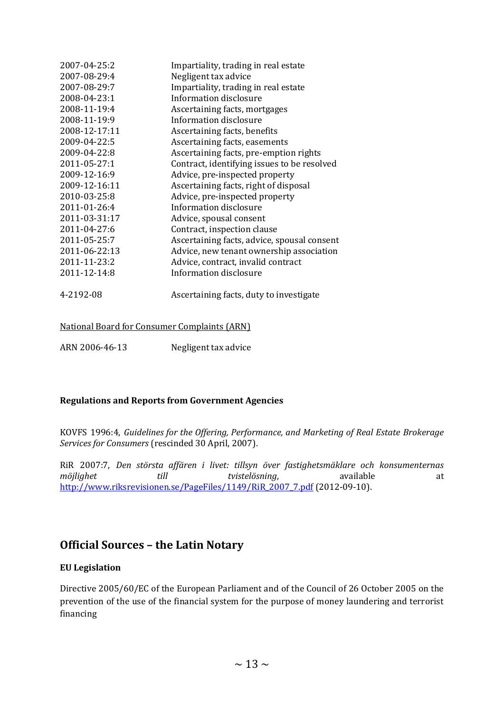| 2007-04-25:2  | Impartiality, trading in real estate        |
|---------------|---------------------------------------------|
| 2007-08-29:4  | Negligent tax advice                        |
| 2007-08-29:7  | Impartiality, trading in real estate        |
| 2008-04-23:1  | Information disclosure                      |
| 2008-11-19:4  | Ascertaining facts, mortgages               |
| 2008-11-19:9  | Information disclosure                      |
| 2008-12-17:11 | Ascertaining facts, benefits                |
| 2009-04-22:5  | Ascertaining facts, easements               |
| 2009-04-22:8  | Ascertaining facts, pre-emption rights      |
| 2011-05-27:1  | Contract, identifying issues to be resolved |
| 2009-12-16:9  | Advice, pre-inspected property              |
| 2009-12-16:11 | Ascertaining facts, right of disposal       |
| 2010-03-25:8  | Advice, pre-inspected property              |
| 2011-01-26:4  | Information disclosure                      |
| 2011-03-31:17 | Advice, spousal consent                     |
| 2011-04-27:6  | Contract, inspection clause                 |
| 2011-05-25:7  | Ascertaining facts, advice, spousal consent |
| 2011-06-22:13 | Advice, new tenant ownership association    |
| 2011-11-23:2  | Advice, contract, invalid contract          |
| 2011-12-14:8  | Information disclosure                      |
| 4-2192-08     | Ascertaining facts, duty to investigate     |

## National Board for Consumer Complaints (ARN)

ARN 2006-46-13 Negligent tax advice

### **Regulations and Reports from Government Agencies**

KOVFS 1996:4, *Guidelines for the Offering, Performance, and Marketing of Real Estate Brokerage Services for Consumers* (rescinded 30 April, 2007).

RiR 2007:7, *Den största affären i livet: tillsyn över fastighetsmäklare och konsumenternas möjlighet* till tvistelösning, available at [http://www.riksrevisionen.se/PageFiles/1149/RiR\\_2007\\_7.pdf](http://www.riksrevisionen.se/PageFiles/1149/RiR_2007_7.pdf) (2012-09-10).

## **Official Sources – the Latin Notary**

### **EU Legislation**

Directive 2005/60/EC of the European Parliament and of the Council of 26 October 2005 on the prevention of the use of the financial system for the purpose of money laundering and terrorist financing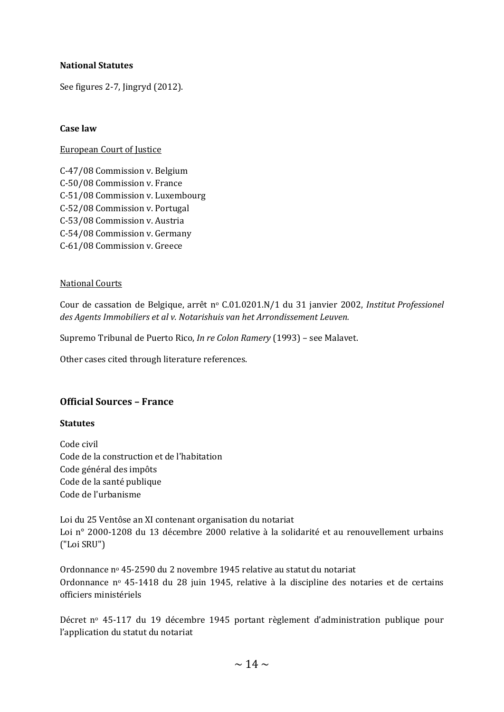## **National Statutes**

See figures 2-7, Jingryd (2012).

### **Case law**

### European Court of Justice

C-47/08 Commission v. Belgium C-50/08 Commission v. France C-51/08 Commission v. Luxembourg C-52/08 Commission v. Portugal C-53/08 Commission v. Austria C-54/08 Commission v. Germany C-61/08 Commission v. Greece

### National Courts

Cour de cassation de Belgique, arrêt n<sup>o</sup> C.01.0201.N/1 du 31 janvier 2002, *Institut Professionel des Agents Immobiliers et al v. Notarishuis van het Arrondissement Leuven.*

Supremo Tribunal de Puerto Rico, *In re Colon Ramery* (1993) – see Malavet.

Other cases cited through literature references.

## **Official Sources – France**

### **Statutes**

Code civil Code de la construction et de l'habitation Code général des impôts Code de la santé publique Code de l'urbanisme

Loi du 25 Ventôse an XI contenant organisation du notariat Loi n° 2000-1208 du 13 décembre 2000 relative à la solidarité et au renouvellement urbains ("Loi SRU")

Ordonnance n<sup>o</sup> 45-2590 du 2 novembre 1945 relative au statut du notariat Ordonnance n<sup>o</sup> 45-1418 du 28 juin 1945, relative à la discipline des notaries et de certains officiers ministériels

Décret nº 45-117 du 19 décembre 1945 portant règlement d'administration publique pour l'application du statut du notariat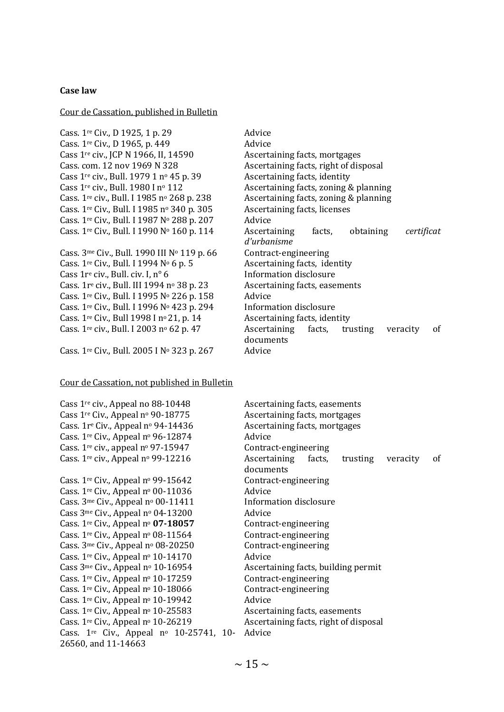### **Case law**

#### Cour de Cassation, published in Bulletin

Cass. 1<sup>re</sup> Civ., D 1925, 1 p. 29 Advice Cass.  $1^{\text{re}}$  Civ., D 1965, p. 449 Advice Cass 1re civ., JCP N 1966, II, 14590 Ascertaining facts, mortgages Cass. com. 12 nov 1969 N 328 Ascertaining facts, right of disposal Cass 1<sup>re</sup> civ., Bull. 1979 1 nº 45 p. 39 Ascertaining facts, identity Cass 1re civ., Bull. 1980 I n<sup>o</sup> 112 Ascertaining facts, zoning & planning Cass. 1<sup>re</sup> civ., Bull. I 1985 nº 268 p. 238 Ascertaining facts, zoning & planning Cass. 1<sup>re</sup> Civ., Bull. I 1985 nº 340 p. 305 Ascertaining facts, licenses Cass.  $1<sup>re</sup>$  Civ., Bull. I 1987 N<sup>o</sup> 288 p. 207 Advice

Cass.  $3^{\text{me}}$  Civ., Bull. 1990 III N<sup>o</sup> 119 p. 66 Contract-engineering Cass.  $1^{re}$  Civ., Bull. I 1994 N<sup>o</sup> 6 p. 5 Ascertaining facts, identity Cass  $1r^e$  civ., Bull. civ. I,  $n^o$  6 Information disclosure Cass.  $1r^e$  civ., Bull. III 1994 n<sup>o</sup> 38 p. 23 Ascertaining facts, easements Cass. 1<sup>re</sup> Civ., Bull. I 1995 N<sup>o</sup> 226 p. 158 Advice Cass. 1<sup>re</sup> Civ., Bull. I 1996 Nº 423 p. 294 Information disclosure Cass. 1<sup>re</sup> Civ., Bull 1998 I nº 21, p. 14 Ascertaining facts, identity

Cass. 1<sup>re</sup> Civ., Bull. 2005 I Nº 323 p. 267 Advice

26560, and 11-14663

#### Cour de Cassation, not published in Bulletin

Cass. 1re Civ., Bull. I 1990 N<sup>o</sup> 160 p. 114 Ascertaining facts, obtaining *certificat d'urbanisme* Cass. 1<sup>re</sup> civ., Bull. I 2003 nº 62 p. 47 Ascertaining facts, trusting veracity of documents

Cass 1<sup>re</sup> civ., Appeal no 88-10448 Ascertaining facts, easements Cass  $1^{re}$  Civ., Appeal nº 90-18775 Ascertaining facts, mortgages Cass.  $1r^e$  Civ., Appeal n<sup>o</sup> 94-14436 Ascertaining facts, mortgages Cass.  $1<sup>re</sup>$  Civ., Appeal nº 96-12874 Advice Cass. 1re civ., appeal n<sup>o</sup> 97-15947 Contract-engineering Cass. 1<sup>re</sup> civ., Appeal nº 99-12216 Ascertaining facts, trusting veracity of documents Cass. 1<sup>re</sup> Civ., Appeal nº 99-15642 Contract-engineering Cass.  $1^{\text{re}}$  Civ., Appeal nº 00-11036 Advice Cass.  $3^{\text{me}}$  Civ., Appeal nº 00-11411 Information disclosure Cass  $3^{\text{me}}$  Civ., Appeal nº 04-13200 Advice Cass. 1<sup>re</sup> Civ., Appeal n<sup>o</sup> **07-18057** Contract-engineering Cass.  $1<sup>re</sup>$  Civ., Appeal nº 08-11564 Contract-engineering Cass.  $3^{\text{me}}$  Civ., Appeal nº 08-20250 Contract-engineering Cass. 1<sup>re</sup> Civ., Appeal nº 10-14170 Advice Cass 3<sup>me</sup> Civ., Appeal nº 10-16954 Ascertaining facts, building permit Cass.  $1^{\text{re}}$  Civ., Appeal n<sup>o</sup> 10-17259 Contract-engineering Cass.  $1<sup>re</sup>$  Civ., Appeal nº 10-18066 Contract-engineering Cass. 1<sup>re</sup> Civ., Appeal nº 10-19942 Advice Cass. 1<sup>re</sup> Civ., Appeal nº 10-25583 Ascertaining facts, easements Cass.  $1^{re}$  Civ., Appeal nº 10-26219 Ascertaining facts, right of disposal Cass.  $1^{\text{re}}$  Civ., Appeal nº 10-25741, 10-Advice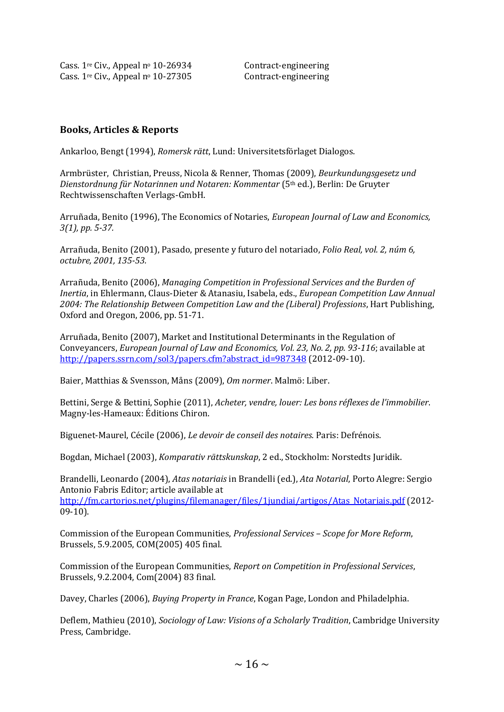Cass.  $1<sup>re</sup>$  Civ., Appeal n<sup>o</sup> 10-26934 Contract-engineering Cass. 1<sup>re</sup> Civ., Appeal nº 10-27305 Contract-engineering

## **Books, Articles & Reports**

Ankarloo, Bengt (1994), *Romersk rätt*, Lund: Universitetsförlaget Dialogos.

Armbrüster, Christian, Preuss, Nicola & Renner, Thomas (2009), *Beurkundungsgesetz und Dienstordnung für Notarinnen und Notaren: Kommentar* (5th ed.), Berlin: De Gruyter Rechtwissenschaften Verlags-GmbH.

Arruñada, Benito (1996), The Economics of Notaries, *European Journal of Law and Economics, 3(1), pp. 5-37.*

Arrañuda, Benito (2001), Pasado, presente y futuro del notariado, *Folio Real, vol. 2, núm 6, octubre, 2001, 135-53.*

Arrañuda, Benito (2006), *Managing Competition in Professional Services and the Burden of Inertia*, in Ehlermann, Claus-Dieter & Atanasiu, Isabela, eds., *European Competition Law Annual 2004: The Relationship Between Competition Law and the (Liberal) Professions*, Hart Publishing, Oxford and Oregon, 2006, pp. 51-71.

Arruñada, Benito (2007), Market and Institutional Determinants in the Regulation of Conveyancers, *European Journal of Law and Economics, Vol. 23, No. 2, pp. 93-116*; available at [http://papers.ssrn.com/sol3/papers.cfm?abstract\\_id=987348](http://papers.ssrn.com/sol3/papers.cfm?abstract_id=987348) (2012-09-10).

Baier, Matthias & Svensson, Måns (2009), *Om normer*. Malmö: Liber.

Bettini, Serge & Bettini, Sophie (2011), *Acheter, vendre, louer: Les bons réflexes de l'immobilier*. Magny-les-Hameaux: Éditions Chiron.

Biguenet-Maurel, Cécile (2006), *Le devoir de conseil des notaires.* Paris: Defrénois.

Bogdan, Michael (2003), *Komparativ rättskunskap*, 2 ed., Stockholm: Norstedts Juridik.

Brandelli, Leonardo (2004), *Atas notariais* in Brandelli (ed.), *Ata Notarial*, Porto Alegre: Sergio Antonio Fabris Editor; article available at [http://fm.cartorios.net/plugins/filemanager/files/1jundiai/artigos/Atas\\_Notariais.pdf](http://fm.cartorios.net/plugins/filemanager/files/1jundiai/artigos/Atas_Notariais.pdf) (2012- 09-10).

Commission of the European Communities, *Professional Services – Scope for More Reform*, Brussels, 5.9.2005, COM(2005) 405 final.

Commission of the European Communities, *Report on Competition in Professional Services*, Brussels, 9.2.2004, Com(2004) 83 final.

Davey, Charles (2006), *Buying Property in France*, Kogan Page, London and Philadelphia.

Deflem, Mathieu (2010), *Sociology of Law: Visions of a Scholarly Tradition*, Cambridge University Press, Cambridge.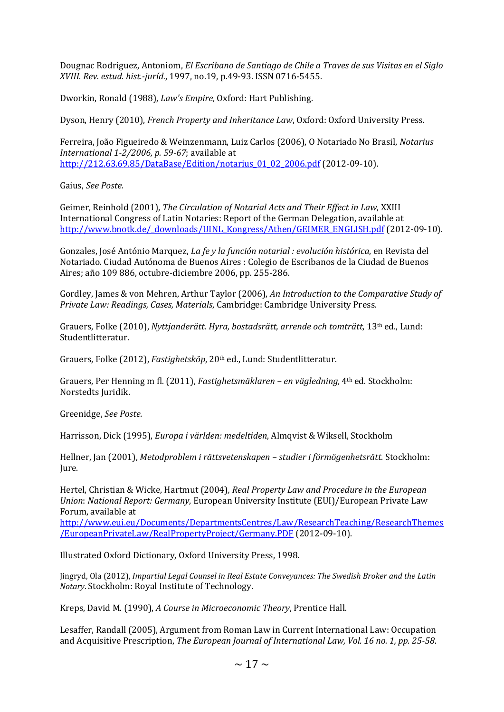Dougnac Rodriguez, Antoniom, *El Escribano de Santiago de Chile a Traves de sus Visitas en el Siglo XVIII*. *Rev. estud. hist.-juríd.*, 1997, no.19, p.49-93. ISSN 0716-5455.

Dworkin, Ronald (1988), *Law's Empire*, Oxford: Hart Publishing.

Dyson, Henry (2010), *French Property and Inheritance Law*, Oxford: Oxford University Press.

Ferreira, João Figueiredo & Weinzenmann, Luiz Carlos (2006), O Notariado No Brasil, *Notarius International 1-2/2006, p. 59-67*; available at [http://212.63.69.85/DataBase/Edition/notarius\\_01\\_02\\_2006.pdf](http://212.63.69.85/DataBase/Edition/notarius_01_02_2006.pdf) (2012-09-10).

Gaius, *See Poste.*

Geimer, Reinhold (2001), *The Circulation of Notarial Acts and Their Effect in Law*, XXIII International Congress of Latin Notaries: Report of the German Delegation, available at [http://www.bnotk.de/\\_downloads/UINL\\_Kongress/Athen/GEIMER\\_ENGLISH.pdf](http://www.bnotk.de/_downloads/UINL_Kongress/Athen/GEIMER_ENGLISH.pdf) (2012-09-10).

Gonzales, José António Marquez, *La fe y la función notarial : evolución histórica*, en Revista del Notariado. Ciudad Autónoma de Buenos Aires : Colegio de Escribanos de la Ciudad de Buenos Aires; año 109 886, octubre-diciembre 2006, pp. 255-286.

Gordley, James & von Mehren, Arthur Taylor (2006), *An Introduction to the Comparative Study of Private Law: Readings, Cases, Materials*, Cambridge: Cambridge University Press.

Grauers, Folke (2010), *Nyttjanderätt. Hyra, bostadsrätt, arrende och tomträtt*, 13th ed., Lund: Studentlitteratur.

Grauers, Folke (2012), *Fastighetsköp*, 20th ed., Lund: Studentlitteratur.

Grauers, Per Henning m fl. (2011), *Fastighetsmäklaren – en vägledning,* 4th ed. Stockholm: Norstedts Juridik.

Greenidge, *See Poste.*

Harrisson, Dick (1995), *Europa i världen: medeltiden*, Almqvist & Wiksell, Stockholm

Hellner, Jan (2001), *Metodproblem i rättsvetenskapen – studier i förmögenhetsrätt*. Stockholm: Jure.

Hertel, Christian & Wicke, Hartmut (2004)*, Real Property Law and Procedure in the European Union*: *National Report: Germany*, European University Institute (EUI)/European Private Law Forum, available at

[http://www.eui.eu/Documents/DepartmentsCentres/Law/ResearchTeaching/ResearchThemes](http://www.eui.eu/Documents/DepartmentsCentres/Law/ResearchTeaching/ResearchThemes/EuropeanPrivateLaw/RealPropertyProject/Germany.PDF) [/EuropeanPrivateLaw/RealPropertyProject/Germany.PDF](http://www.eui.eu/Documents/DepartmentsCentres/Law/ResearchTeaching/ResearchThemes/EuropeanPrivateLaw/RealPropertyProject/Germany.PDF) (2012-09-10).

Illustrated Oxford Dictionary, Oxford University Press, 1998.

Jingryd, Ola (2012), *Impartial Legal Counsel in Real Estate Conveyances: The Swedish Broker and the Latin Notary*. Stockholm: Royal Institute of Technology.

Kreps, David M. (1990), *A Course in Microeconomic Theory*, Prentice Hall.

Lesaffer, Randall (2005), Argument from Roman Law in Current International Law: Occupation and Acquisitive Prescription, *The European Journal of International Law, Vol. 16 no. 1, pp. 25-58*.